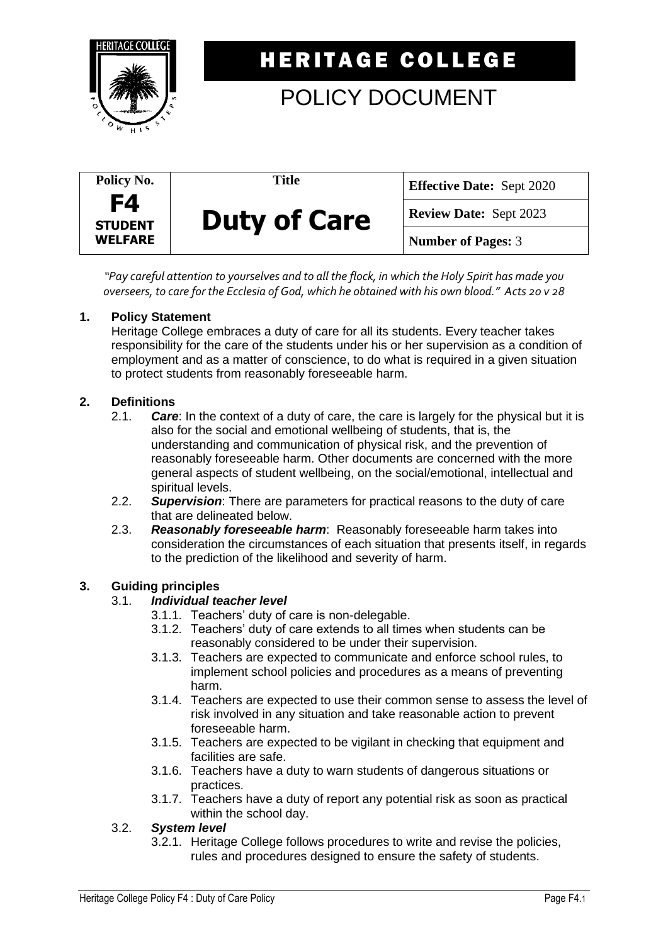

## **HERITAGE COLLEGE**

# POLICY DOCUMENT

| Policy No.                             | Title               | <b>Effective Date: Sept 2020</b> |
|----------------------------------------|---------------------|----------------------------------|
| F4<br><b>STUDENT</b><br><b>WELFARE</b> | <b>Duty of Care</b> | <b>Review Date: Sept 2023</b>    |
|                                        |                     | <b>Number of Pages: 3</b>        |

*"Pay careful attention to yourselves and to all the flock, in which the Holy Spirit has made you overseers, to care for the Ecclesia of God, which he obtained with his own blood." Acts 20 v 28*

### **1. Policy Statement**

Heritage College embraces a duty of care for all its students. Every teacher takes responsibility for the care of the students under his or her supervision as a condition of employment and as a matter of conscience, to do what is required in a given situation to protect students from reasonably foreseeable harm.

### **2. Definitions**

- 2.1. *Care*: In the context of a duty of care, the care is largely for the physical but it is also for the social and emotional wellbeing of students, that is, the understanding and communication of physical risk, and the prevention of reasonably foreseeable harm. Other documents are concerned with the more general aspects of student wellbeing, on the social/emotional, intellectual and spiritual levels.
- 2.2. *Supervision*: There are parameters for practical reasons to the duty of care that are delineated below.
- 2.3. *Reasonably foreseeable harm*: Reasonably foreseeable harm takes into consideration the circumstances of each situation that presents itself, in regards to the prediction of the likelihood and severity of harm.

## **3. Guiding principles**

#### 3.1. *Individual teacher level*

- 3.1.1. Teachers' duty of care is non-delegable.
- 3.1.2. Teachers' duty of care extends to all times when students can be reasonably considered to be under their supervision.
- 3.1.3. Teachers are expected to communicate and enforce school rules, to implement school policies and procedures as a means of preventing harm.
- 3.1.4. Teachers are expected to use their common sense to assess the level of risk involved in any situation and take reasonable action to prevent foreseeable harm.
- 3.1.5. Teachers are expected to be vigilant in checking that equipment and facilities are safe.
- 3.1.6. Teachers have a duty to warn students of dangerous situations or practices.
- 3.1.7. Teachers have a duty of report any potential risk as soon as practical within the school day.

#### 3.2. *System level*

3.2.1. Heritage College follows procedures to write and revise the policies, rules and procedures designed to ensure the safety of students.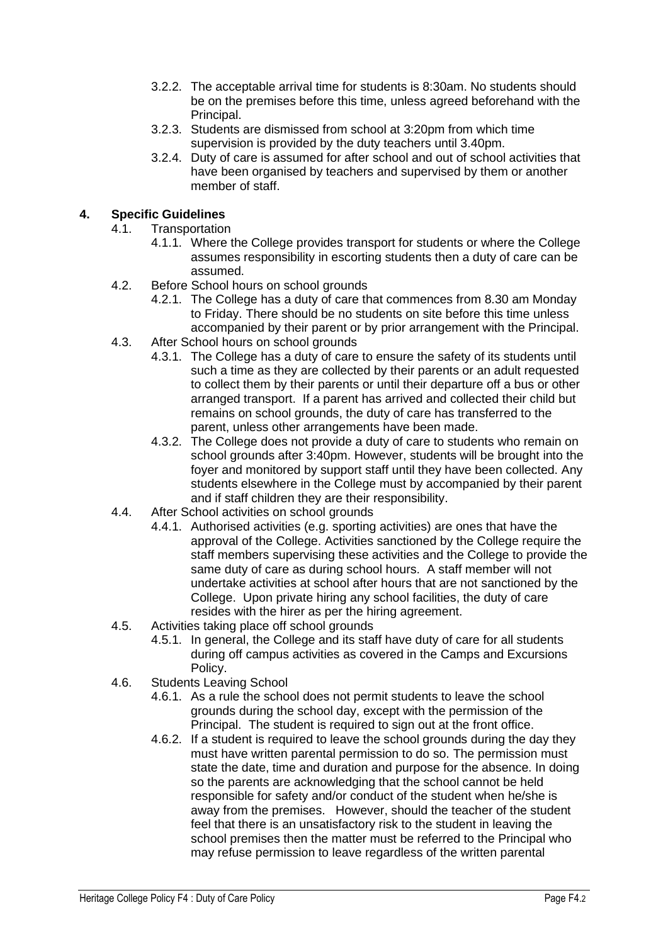- 3.2.2. The acceptable arrival time for students is 8:30am. No students should be on the premises before this time, unless agreed beforehand with the Principal.
- 3.2.3. Students are dismissed from school at 3:20pm from which time supervision is provided by the duty teachers until 3.40pm.
- 3.2.4. Duty of care is assumed for after school and out of school activities that have been organised by teachers and supervised by them or another member of staff.

## **4. Specific Guidelines**

- 4.1. Transportation
	- 4.1.1. Where the College provides transport for students or where the College assumes responsibility in escorting students then a duty of care can be assumed.
- 4.2. Before School hours on school grounds
	- 4.2.1. The College has a duty of care that commences from 8.30 am Monday to Friday. There should be no students on site before this time unless accompanied by their parent or by prior arrangement with the Principal.
- 4.3. After School hours on school grounds
	- 4.3.1. The College has a duty of care to ensure the safety of its students until such a time as they are collected by their parents or an adult requested to collect them by their parents or until their departure off a bus or other arranged transport. If a parent has arrived and collected their child but remains on school grounds, the duty of care has transferred to the parent, unless other arrangements have been made.
	- 4.3.2. The College does not provide a duty of care to students who remain on school grounds after 3:40pm. However, students will be brought into the foyer and monitored by support staff until they have been collected. Any students elsewhere in the College must by accompanied by their parent and if staff children they are their responsibility.
- 4.4. After School activities on school grounds
	- 4.4.1. Authorised activities (e.g. sporting activities) are ones that have the approval of the College. Activities sanctioned by the College require the staff members supervising these activities and the College to provide the same duty of care as during school hours. A staff member will not undertake activities at school after hours that are not sanctioned by the College. Upon private hiring any school facilities, the duty of care resides with the hirer as per the hiring agreement.
- 4.5. Activities taking place off school grounds
	- 4.5.1. In general, the College and its staff have duty of care for all students during off campus activities as covered in the Camps and Excursions Policy.
- 4.6. Students Leaving School
	- 4.6.1. As a rule the school does not permit students to leave the school grounds during the school day, except with the permission of the Principal. The student is required to sign out at the front office.
	- 4.6.2. If a student is required to leave the school grounds during the day they must have written parental permission to do so. The permission must state the date, time and duration and purpose for the absence. In doing so the parents are acknowledging that the school cannot be held responsible for safety and/or conduct of the student when he/she is away from the premises. However, should the teacher of the student feel that there is an unsatisfactory risk to the student in leaving the school premises then the matter must be referred to the Principal who may refuse permission to leave regardless of the written parental